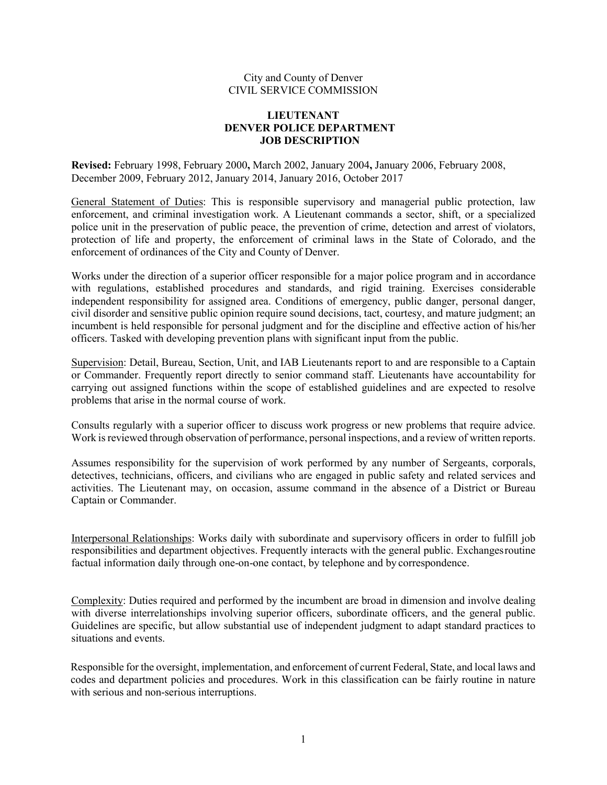### City and County of Denver CIVIL SERVICE COMMISSION

## **LIEUTENANT DENVER POLICE DEPARTMENT JOB DESCRIPTION**

**Revised:** February 1998, February 2000**,** March 2002, January 2004**,** January 2006, February 2008, December 2009, February 2012, January 2014, January 2016, October 2017

General Statement of Duties: This is responsible supervisory and managerial public protection, law enforcement, and criminal investigation work. A Lieutenant commands a sector, shift, or a specialized police unit in the preservation of public peace, the prevention of crime, detection and arrest of violators, protection of life and property, the enforcement of criminal laws in the State of Colorado, and the enforcement of ordinances of the City and County of Denver.

Works under the direction of a superior officer responsible for a major police program and in accordance with regulations, established procedures and standards, and rigid training. Exercises considerable independent responsibility for assigned area. Conditions of emergency, public danger, personal danger, civil disorder and sensitive public opinion require sound decisions, tact, courtesy, and mature judgment; an incumbent is held responsible for personal judgment and for the discipline and effective action of his/her officers. Tasked with developing prevention plans with significant input from the public.

Supervision: Detail, Bureau, Section, Unit, and IAB Lieutenants report to and are responsible to a Captain or Commander. Frequently report directly to senior command staff. Lieutenants have accountability for carrying out assigned functions within the scope of established guidelines and are expected to resolve problems that arise in the normal course of work.

Consults regularly with a superior officer to discuss work progress or new problems that require advice. Work is reviewed through observation of performance, personal inspections, and a review of written reports.

Assumes responsibility for the supervision of work performed by any number of Sergeants, corporals, detectives, technicians, officers, and civilians who are engaged in public safety and related services and activities. The Lieutenant may, on occasion, assume command in the absence of a District or Bureau Captain or Commander.

Interpersonal Relationships: Works daily with subordinate and supervisory officers in order to fulfill job responsibilities and department objectives. Frequently interacts with the general public. Exchangesroutine factual information daily through one-on-one contact, by telephone and by correspondence.

Complexity: Duties required and performed by the incumbent are broad in dimension and involve dealing with diverse interrelationships involving superior officers, subordinate officers, and the general public. Guidelines are specific, but allow substantial use of independent judgment to adapt standard practices to situations and events.

Responsible for the oversight, implementation, and enforcement of current Federal, State, and local laws and codes and department policies and procedures. Work in this classification can be fairly routine in nature with serious and non-serious interruptions.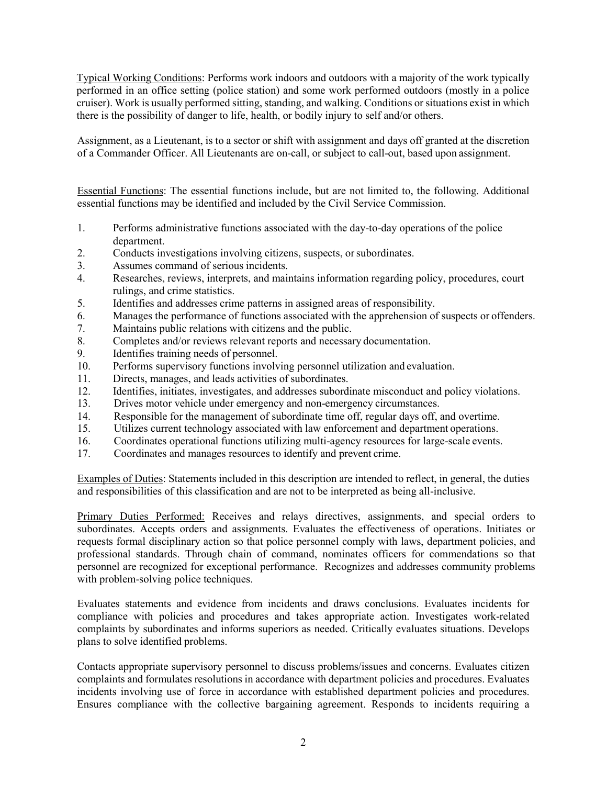Typical Working Conditions: Performs work indoors and outdoors with a majority of the work typically performed in an office setting (police station) and some work performed outdoors (mostly in a police cruiser). Work is usually performed sitting, standing, and walking. Conditions or situations exist in which there is the possibility of danger to life, health, or bodily injury to self and/or others.

Assignment, as a Lieutenant, is to a sector or shift with assignment and days off granted at the discretion of a Commander Officer. All Lieutenants are on-call, or subject to call-out, based upon assignment.

Essential Functions: The essential functions include, but are not limited to, the following. Additional essential functions may be identified and included by the Civil Service Commission.

- 1. Performs administrative functions associated with the day-to-day operations of the police department.
- 2. Conducts investigations involving citizens, suspects, orsubordinates.
- 3. Assumes command of serious incidents.
- 4. Researches, reviews, interprets, and maintains information regarding policy, procedures, court rulings, and crime statistics.
- 5. Identifies and addresses crime patterns in assigned areas of responsibility.
- 6. Manages the performance of functions associated with the apprehension of suspects or offenders.
- 7. Maintains public relations with citizens and the public.
- 8. Completes and/or reviews relevant reports and necessary documentation.
- 9. Identifies training needs of personnel.
- 10. Performs supervisory functions involving personnel utilization and evaluation.
- 11. Directs, manages, and leads activities of subordinates.
- 12. Identifies, initiates, investigates, and addresses subordinate misconduct and policy violations.
- 13. Drives motor vehicle under emergency and non-emergency circumstances.
- 14. Responsible for the management of subordinate time off, regular days off, and overtime.
- 15. Utilizes current technology associated with law enforcement and department operations.
- 16. Coordinates operational functions utilizing multi-agency resources for large-scale events.
- 17. Coordinates and manages resources to identify and prevent crime.

Examples of Duties: Statements included in this description are intended to reflect, in general, the duties and responsibilities of this classification and are not to be interpreted as being all-inclusive.

Primary Duties Performed: Receives and relays directives, assignments, and special orders to subordinates. Accepts orders and assignments. Evaluates the effectiveness of operations. Initiates or requests formal disciplinary action so that police personnel comply with laws, department policies, and professional standards. Through chain of command, nominates officers for commendations so that personnel are recognized for exceptional performance. Recognizes and addresses community problems with problem-solving police techniques.

Evaluates statements and evidence from incidents and draws conclusions. Evaluates incidents for compliance with policies and procedures and takes appropriate action. Investigates work-related complaints by subordinates and informs superiors as needed. Critically evaluates situations. Develops plans to solve identified problems.

Contacts appropriate supervisory personnel to discuss problems/issues and concerns. Evaluates citizen complaints and formulates resolutions in accordance with department policies and procedures. Evaluates incidents involving use of force in accordance with established department policies and procedures. Ensures compliance with the collective bargaining agreement. Responds to incidents requiring a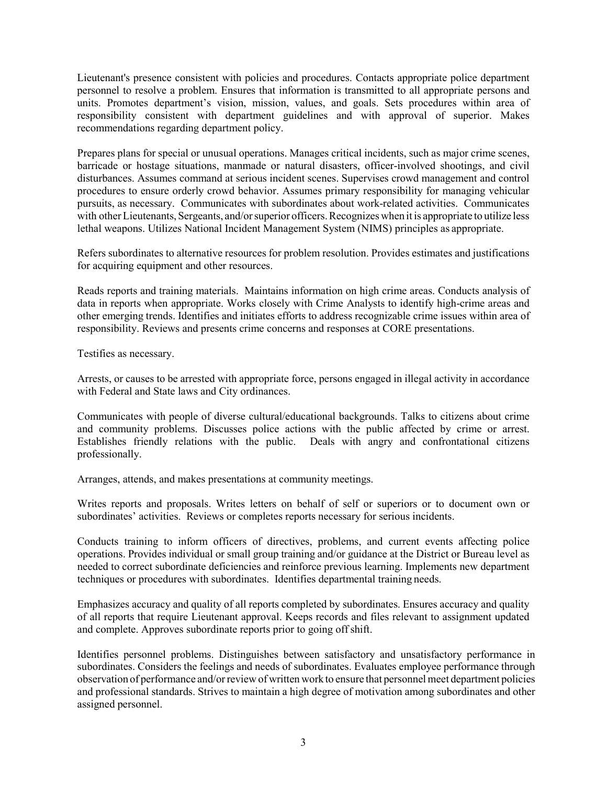Lieutenant's presence consistent with policies and procedures. Contacts appropriate police department personnel to resolve a problem. Ensures that information is transmitted to all appropriate persons and units. Promotes department's vision, mission, values, and goals. Sets procedures within area of responsibility consistent with department guidelines and with approval of superior. Makes recommendations regarding department policy.

Prepares plans for special or unusual operations. Manages critical incidents, such as major crime scenes, barricade or hostage situations, manmade or natural disasters, officer-involved shootings, and civil disturbances. Assumes command at serious incident scenes. Supervises crowd management and control procedures to ensure orderly crowd behavior. Assumes primary responsibility for managing vehicular pursuits, as necessary. Communicates with subordinates about work-related activities. Communicates with other Lieutenants, Sergeants, and/or superior officers. Recognizes when it is appropriate to utilize less lethal weapons. Utilizes National Incident Management System (NIMS) principles as appropriate.

Refers subordinates to alternative resources for problem resolution. Provides estimates and justifications for acquiring equipment and other resources.

Reads reports and training materials. Maintains information on high crime areas. Conducts analysis of data in reports when appropriate. Works closely with Crime Analysts to identify high-crime areas and other emerging trends. Identifies and initiates efforts to address recognizable crime issues within area of responsibility. Reviews and presents crime concerns and responses at CORE presentations.

Testifies as necessary.

Arrests, or causes to be arrested with appropriate force, persons engaged in illegal activity in accordance with Federal and State laws and City ordinances.

Communicates with people of diverse cultural/educational backgrounds. Talks to citizens about crime and community problems. Discusses police actions with the public affected by crime or arrest. Establishes friendly relations with the public. Deals with angry and confrontational citizens professionally.

Arranges, attends, and makes presentations at community meetings.

Writes reports and proposals. Writes letters on behalf of self or superiors or to document own or subordinates' activities. Reviews or completes reports necessary for serious incidents.

Conducts training to inform officers of directives, problems, and current events affecting police operations. Provides individual or small group training and/or guidance at the District or Bureau level as needed to correct subordinate deficiencies and reinforce previous learning. Implements new department techniques or procedures with subordinates. Identifies departmental training needs.

Emphasizes accuracy and quality of all reports completed by subordinates. Ensures accuracy and quality of all reports that require Lieutenant approval. Keeps records and files relevant to assignment updated and complete. Approves subordinate reports prior to going offshift.

Identifies personnel problems. Distinguishes between satisfactory and unsatisfactory performance in subordinates. Considers the feelings and needs of subordinates. Evaluates employee performance through observation of performance and/orreview of written work to ensure that personnel meet department policies and professional standards. Strives to maintain a high degree of motivation among subordinates and other assigned personnel.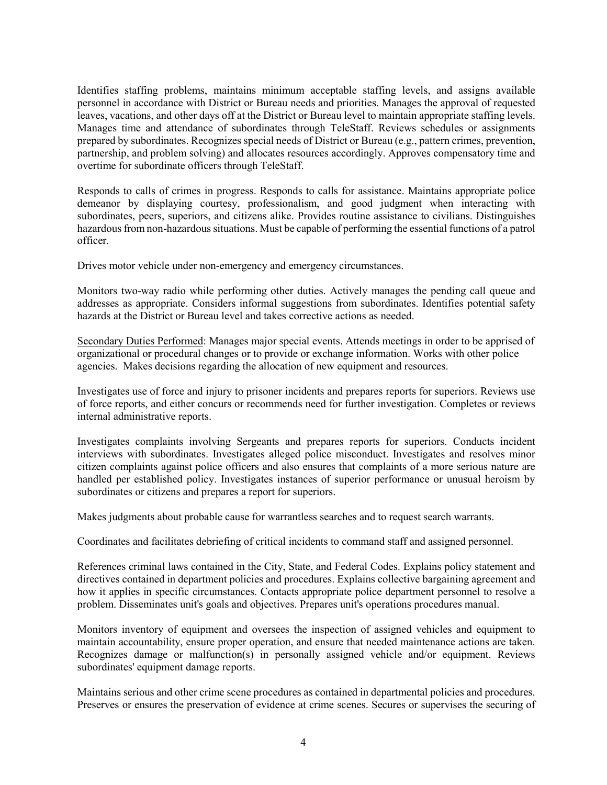Identifies staffing problems, maintains minimum acceptable staffing levels, and assigns available personnel in accordance with District or Bureau needs and priorities. Manages the approval of requested leaves, vacations, and other days off at the District or Bureau level to maintain appropriate staffing levels. Manages time and attendance of subordinates through TeleStaff. Reviews schedules or assignments prepared by subordinates. Recognizes special needs of District or Bureau (e.g., pattern crimes, prevention, partnership, and problem solving) and allocates resources accordingly. Approves compensatory time and overtime for subordinate officers through TeleStaff.

Responds to calls of crimes in progress. Responds to calls for assistance. Maintains appropriate police demeanor by displaying courtesy, professionalism, and good judgment when interacting with subordinates, peers, superiors, and citizens alike. Provides routine assistance to civilians. Distinguishes hazardous from non-hazardous situations. Must be capable of performing the essential functions of a patrol officer.

Drives motor vehicle under non-emergency and emergency circumstances.

Monitors two-way radio while performing other duties. Actively manages the pending call queue and addresses as appropriate. Considers informal suggestions from subordinates. Identifies potential safety hazards at the District or Bureau level and takes corrective actions as needed.

Secondary Duties Performed: Manages major special events. Attends meetings in order to be apprised of organizational or procedural changes or to provide or exchange information. Works with other police agencies. Makes decisions regarding the allocation of new equipment and resources.

Investigates use of force and injury to prisoner incidents and prepares reports for superiors. Reviews use of force reports, and either concurs or recommends need for further investigation. Completes or reviews internal administrative reports.

Investigates complaints involving Sergeants and prepares reports for superiors. Conducts incident interviews with subordinates. Investigates alleged police misconduct. Investigates and resolves minor citizen complaints against police officers and also ensures that complaints of a more serious nature are handled per established policy. Investigates instances of superior performance or unusual heroism by subordinates or citizens and prepares a report for superiors.

Makes judgments about probable cause for warrantless searches and to request search warrants.

Coordinates and facilitates debriefing of critical incidents to command staff and assigned personnel.

References criminal laws contained in the City, State, and Federal Codes. Explains policy statement and directives contained in department policies and procedures. Explains collective bargaining agreement and how it applies in specific circumstances. Contacts appropriate police department personnel to resolve a problem. Disseminates unit's goals and objectives. Prepares unit's operations procedures manual.

Monitors inventory of equipment and oversees the inspection of assigned vehicles and equipment to maintain accountability, ensure proper operation, and ensure that needed maintenance actions are taken. Recognizes damage or malfunction(s) in personally assigned vehicle and/or equipment. Reviews subordinates' equipment damage reports.

Maintains serious and other crime scene procedures as contained in departmental policies and procedures. Preserves or ensures the preservation of evidence at crime scenes. Secures or supervises the securing of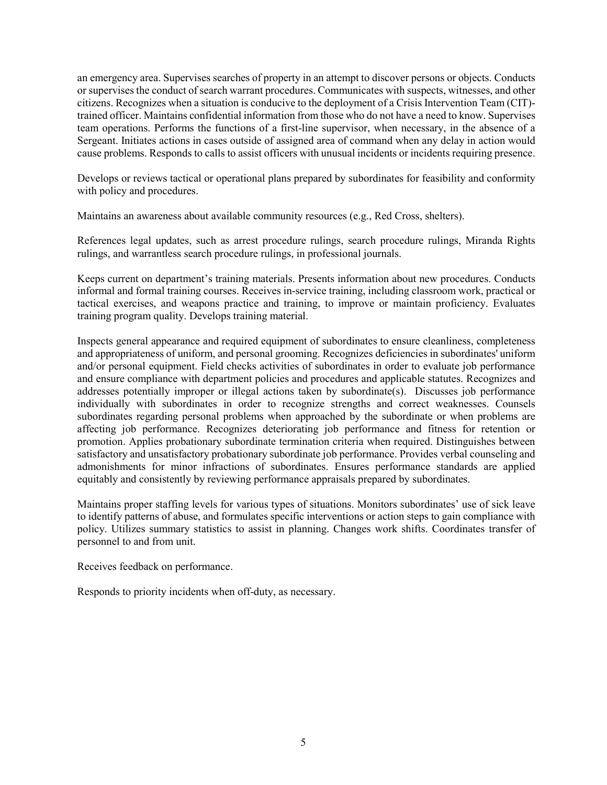an emergency area. Supervises searches of property in an attempt to discover persons or objects. Conducts or supervises the conduct of search warrant procedures. Communicates with suspects, witnesses, and other citizens. Recognizes when a situation is conducive to the deployment of a Crisis Intervention Team (CIT) trained officer. Maintains confidential information from those who do not have a need to know. Supervises team operations. Performs the functions of a first-line supervisor, when necessary, in the absence of a Sergeant. Initiates actions in cases outside of assigned area of command when any delay in action would cause problems. Responds to calls to assist officers with unusual incidents or incidents requiring presence.

Develops or reviews tactical or operational plans prepared by subordinates for feasibility and conformity with policy and procedures.

Maintains an awareness about available community resources (e.g., Red Cross, shelters).

References legal updates, such as arrest procedure rulings, search procedure rulings, Miranda Rights rulings, and warrantless search procedure rulings, in professional journals.

Keeps current on department's training materials. Presents information about new procedures. Conducts informal and formal training courses. Receives in-service training, including classroom work, practical or tactical exercises, and weapons practice and training, to improve or maintain proficiency. Evaluates training program quality. Develops training material.

Inspects general appearance and required equipment of subordinates to ensure cleanliness, completeness and appropriateness of uniform, and personal grooming. Recognizes deficiencies in subordinates' uniform and/or personal equipment. Field checks activities of subordinates in order to evaluate job performance and ensure compliance with department policies and procedures and applicable statutes. Recognizes and addresses potentially improper or illegal actions taken by subordinate(s). Discusses job performance individually with subordinates in order to recognize strengths and correct weaknesses. Counsels subordinates regarding personal problems when approached by the subordinate or when problems are affecting job performance. Recognizes deteriorating job performance and fitness for retention or promotion. Applies probationary subordinate termination criteria when required. Distinguishes between satisfactory and unsatisfactory probationary subordinate job performance. Provides verbal counseling and admonishments for minor infractions of subordinates. Ensures performance standards are applied equitably and consistently by reviewing performance appraisals prepared by subordinates.

Maintains proper staffing levels for various types of situations. Monitors subordinates' use of sick leave to identify patterns of abuse, and formulates specific interventions or action steps to gain compliance with policy. Utilizes summary statistics to assist in planning. Changes work shifts. Coordinates transfer of personnel to and from unit.

Receives feedback on performance.

Responds to priority incidents when off-duty, as necessary.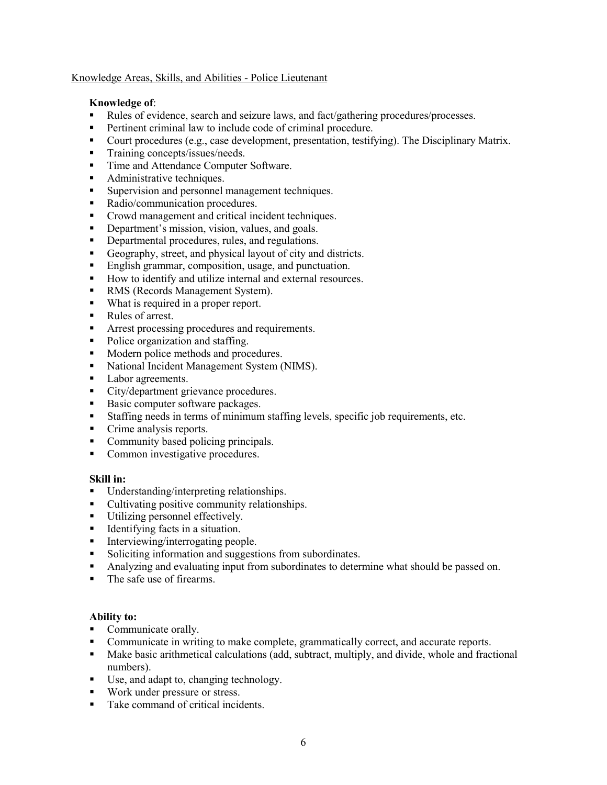## Knowledge Areas, Skills, and Abilities - Police Lieutenant

## **Knowledge of**:

- Rules of evidence, search and seizure laws, and fact/gathering procedures/processes.
- **Pertinent criminal law to include code of criminal procedure.**
- Court procedures (e.g., case development, presentation, testifying). The Disciplinary Matrix.
- **Training concepts/issues/needs.**
- Time and Attendance Computer Software.
- Administrative techniques.
- Supervision and personnel management techniques.
- Radio/communication procedures.
- Crowd management and critical incident techniques.
- Department's mission, vision, values, and goals.
- Departmental procedures, rules, and regulations.
- Geography, street, and physical layout of city and districts.
- **English grammar, composition, usage, and punctuation.**
- How to identify and utilize internal and external resources.
- RMS (Records Management System).
- What is required in a proper report.
- Rules of arrest.
- Arrest processing procedures and requirements.
- Police organization and staffing.
- Modern police methods and procedures.
- National Incident Management System (NIMS).
- Labor agreements.
- City/department grievance procedures.
- Basic computer software packages.
- Staffing needs in terms of minimum staffing levels, specific job requirements, etc.
- Crime analysis reports.
- Community based policing principals.
- Common investigative procedures.

## **Skill in:**

- Understanding/interpreting relationships.
- Cultivating positive community relationships.
- Utilizing personnel effectively.<br>■ Identifying facts in a situation.
- Identifying facts in a situation.
- Interviewing/interrogating people.
- Soliciting information and suggestions from subordinates.
- Analyzing and evaluating input from subordinates to determine what should be passed on.
- The safe use of firearms.

# **Ability to:**

- Communicate orally.
- Communicate in writing to make complete, grammatically correct, and accurate reports.
- $\blacksquare$  Make basic arithmetical calculations (add, subtract, multiply, and divide, whole and fractional numbers).
- Use, and adapt to, changing technology.
- **Work under pressure or stress.**
- Take command of critical incidents.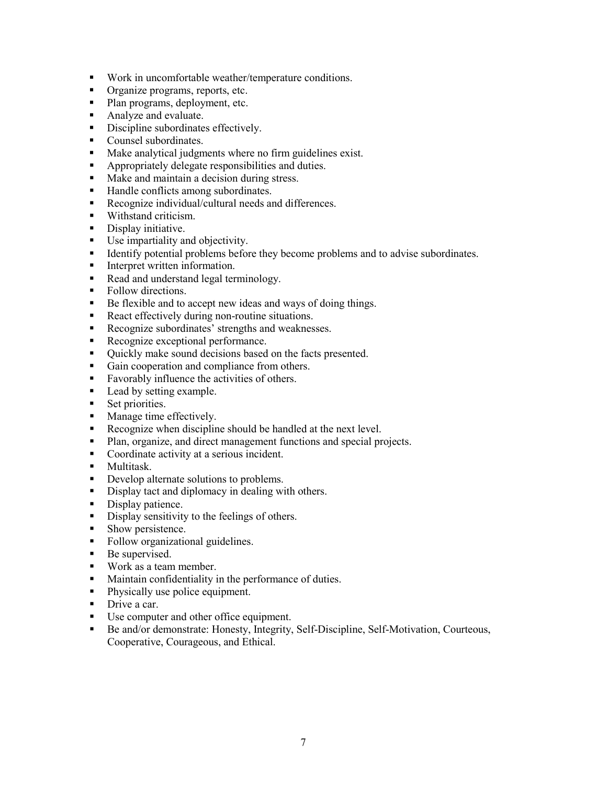- Work in uncomfortable weather/temperature conditions.
- **•** Organize programs, reports, etc.
- Plan programs, deployment, etc.
- Analyze and evaluate.
- Discipline subordinates effectively.
- **Counsel subordinates.**
- **Make analytical judgments where no firm guidelines exist.**
- Appropriately delegate responsibilities and duties.<br>• Make and maintain a decision during stress
- Make and maintain a decision during stress.
- Handle conflicts among subordinates.
- Recognize individual/cultural needs and differences.
- Withstand criticism.
- Display initiative.
- Use impartiality and objectivity.
- Identify potential problems before they become problems and to advise subordinates.
- **Interpret written information.**
- Read and understand legal terminology.
- Follow directions.
- Be flexible and to accept new ideas and ways of doing things.
- React effectively during non-routine situations.
- Recognize subordinates' strengths and weaknesses.
- Recognize exceptional performance.
- Quickly make sound decisions based on the facts presented.
- Gain cooperation and compliance from others.
- **Favorably influence the activities of others.**
- Lead by setting example.
- Set priorities.
- Manage time effectively.
- Recognize when discipline should be handled at the next level.
- Plan, organize, and direct management functions and special projects.
- Coordinate activity at a serious incident.
- **Multitask**
- Develop alternate solutions to problems.
- Display tact and diplomacy in dealing with others.
- Display patience.
- Display sensitivity to the feelings of others.
- Show persistence.
- Follow organizational guidelines.
- **Be supervised.**
- Work as a team member.
- Maintain confidentiality in the performance of duties.
- Physically use police equipment.
- Drive a car.
- Use computer and other office equipment.
- Be and/or demonstrate: Honesty, Integrity, Self-Discipline, Self-Motivation, Courteous, Cooperative, Courageous, and Ethical.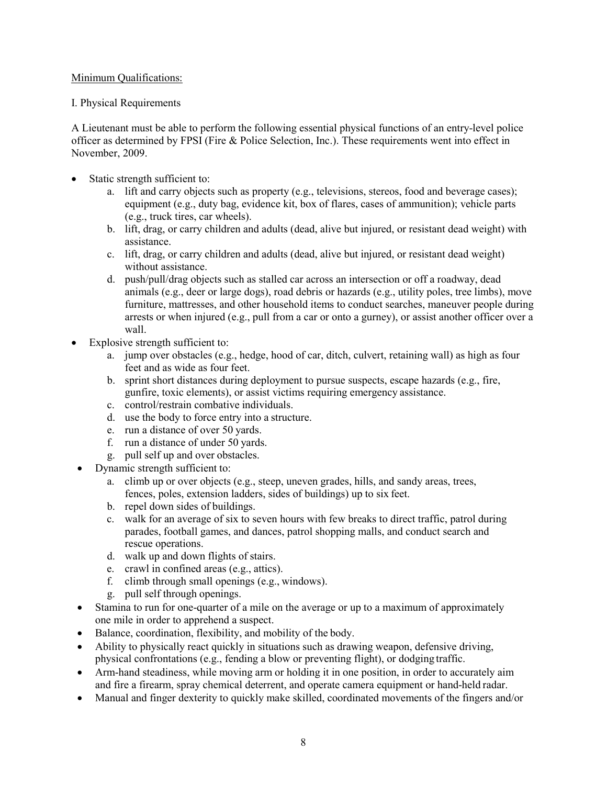## Minimum Qualifications:

## I. Physical Requirements

A Lieutenant must be able to perform the following essential physical functions of an entry-level police officer as determined by FPSI (Fire & Police Selection, Inc.). These requirements went into effect in November, 2009.

- Static strength sufficient to:
	- a. lift and carry objects such as property (e.g., televisions, stereos, food and beverage cases); equipment (e.g., duty bag, evidence kit, box of flares, cases of ammunition); vehicle parts (e.g., truck tires, car wheels).
	- b. lift, drag, or carry children and adults (dead, alive but injured, or resistant dead weight) with assistance.
	- c. lift, drag, or carry children and adults (dead, alive but injured, or resistant dead weight) without assistance.
	- d. push/pull/drag objects such as stalled car across an intersection or off a roadway, dead animals (e.g., deer or large dogs), road debris or hazards (e.g., utility poles, tree limbs), move furniture, mattresses, and other household items to conduct searches, maneuver people during arrests or when injured (e.g., pull from a car or onto a gurney), or assist another officer over a wall.
- Explosive strength sufficient to:
	- a. jump over obstacles (e.g., hedge, hood of car, ditch, culvert, retaining wall) as high as four feet and as wide as four feet.
	- b. sprint short distances during deployment to pursue suspects, escape hazards (e.g., fire, gunfire, toxic elements), or assist victims requiring emergency assistance.
	- c. control/restrain combative individuals.
	- d. use the body to force entry into a structure.
	- e. run a distance of over 50 yards.
	- f. run a distance of under 50 yards.
	- g. pull self up and over obstacles.
- Dynamic strength sufficient to:
	- a. climb up or over objects (e.g., steep, uneven grades, hills, and sandy areas, trees, fences, poles, extension ladders, sides of buildings) up to six feet.
	- b. repel down sides of buildings.
	- c. walk for an average of six to seven hours with few breaks to direct traffic, patrol during parades, football games, and dances, patrol shopping malls, and conduct search and rescue operations.
	- d. walk up and down flights of stairs.
	- e. crawl in confined areas (e.g., attics).
	- f. climb through small openings (e.g., windows).
	- g. pull self through openings.
- Stamina to run for one-quarter of a mile on the average or up to a maximum of approximately one mile in order to apprehend a suspect.
- Balance, coordination, flexibility, and mobility of the body.
- Ability to physically react quickly in situations such as drawing weapon, defensive driving, physical confrontations (e.g., fending a blow or preventing flight), or dodging traffic.
- Arm-hand steadiness, while moving arm or holding it in one position, in order to accurately aim and fire a firearm, spray chemical deterrent, and operate camera equipment or hand-held radar.
- Manual and finger dexterity to quickly make skilled, coordinated movements of the fingers and/or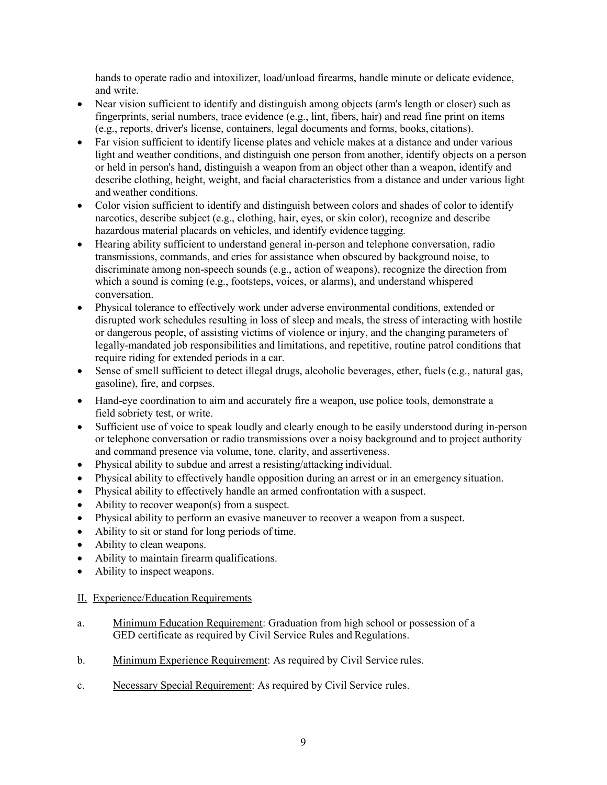hands to operate radio and intoxilizer, load/unload firearms, handle minute or delicate evidence, and write.

- Near vision sufficient to identify and distinguish among objects (arm's length or closer) such as fingerprints, serial numbers, trace evidence (e.g., lint, fibers, hair) and read fine print on items (e.g., reports, driver's license, containers, legal documents and forms, books, citations).
- Far vision sufficient to identify license plates and vehicle makes at a distance and under various light and weather conditions, and distinguish one person from another, identify objects on a person or held in person's hand, distinguish a weapon from an object other than a weapon, identify and describe clothing, height, weight, and facial characteristics from a distance and under various light and weather conditions.
- Color vision sufficient to identify and distinguish between colors and shades of color to identify narcotics, describe subject (e.g., clothing, hair, eyes, or skin color), recognize and describe hazardous material placards on vehicles, and identify evidence tagging.
- Hearing ability sufficient to understand general in-person and telephone conversation, radio transmissions, commands, and cries for assistance when obscured by background noise, to discriminate among non-speech sounds (e.g., action of weapons), recognize the direction from which a sound is coming (e.g., footsteps, voices, or alarms), and understand whispered conversation.
- Physical tolerance to effectively work under adverse environmental conditions, extended or disrupted work schedules resulting in loss of sleep and meals, the stress of interacting with hostile or dangerous people, of assisting victims of violence or injury, and the changing parameters of legally-mandated job responsibilities and limitations, and repetitive, routine patrol conditions that require riding for extended periods in a car.
- Sense of smell sufficient to detect illegal drugs, alcoholic beverages, ether, fuels (e.g., natural gas, gasoline), fire, and corpses.
- Hand-eye coordination to aim and accurately fire a weapon, use police tools, demonstrate a field sobriety test, or write.
- Sufficient use of voice to speak loudly and clearly enough to be easily understood during in-person or telephone conversation or radio transmissions over a noisy background and to project authority and command presence via volume, tone, clarity, and assertiveness.
- Physical ability to subdue and arrest a resisting/attacking individual.
- Physical ability to effectively handle opposition during an arrest or in an emergency situation.
- Physical ability to effectively handle an armed confrontation with a suspect.
- Ability to recover weapon(s) from a suspect.
- Physical ability to perform an evasive maneuver to recover a weapon from a suspect.
- Ability to sit or stand for long periods of time.
- Ability to clean weapons.
- Ability to maintain firearm qualifications.
- Ability to inspect weapons.

# II. Experience/Education Requirements

- a. Minimum Education Requirement: Graduation from high school or possession of a GED certificate as required by Civil Service Rules and Regulations.
- b. Minimum Experience Requirement: As required by Civil Service rules.
- c. Necessary Special Requirement: As required by Civil Service rules.